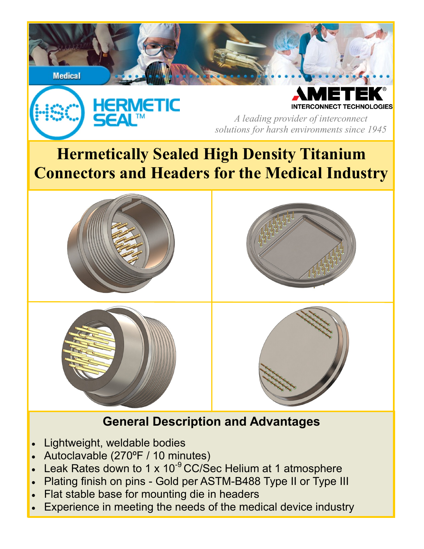

- Lightweight, weldable bodies
- Autoclavable (270ºF / 10 minutes)
- Leak Rates down to 1 x  $10^{-9}$  CC/Sec Helium at 1 atmosphere
- Plating finish on pins Gold per ASTM-B488 Type II or Type III
- Flat stable base for mounting die in headers
- Experience in meeting the needs of the medical device industry